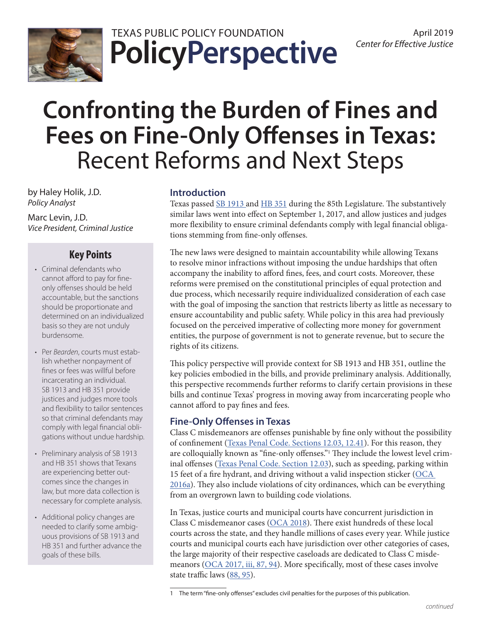

**PolicyPerspective** TEXAS PUBLIC POLICY FOUNDATION April 2019

# **Confronting the Burden of Fines and Fees on Fine-Only Offenses in Texas:** Recent Reforms and Next Steps

by Haley Holik, J.D. *Policy Analyst*

Marc Levin, J.D. *Vice President, Criminal Justice*

# **Key Points**

- Criminal defendants who cannot afford to pay for fineonly offenses should be held accountable, but the sanctions should be proportionate and determined on an individualized basis so they are not unduly burdensome.
- Per *Bearden*, courts must establish whether nonpayment of fines or fees was willful before incarcerating an individual. SB 1913 and HB 351 provide justices and judges more tools and flexibility to tailor sentences so that criminal defendants may comply with legal financial obligations without undue hardship.
- Preliminary analysis of SB 1913 and HB 351 shows that Texans are experiencing better outcomes since the changes in law, but more data collection is necessary for complete analysis.
- Additional policy changes are needed to clarify some ambiguous provisions of SB 1913 and HB 351 and further advance the goals of these bills.

# **Introduction**

Texas passed [SB 1913](https://capitol.texas.gov/tlodocs/85R/billtext/html/SB01913F.htm) and [HB 351](https://capitol.texas.gov/tlodocs/85R/billtext/html/HB00351F.htm) during the 85th Legislature. The substantively similar laws went into effect on September 1, 2017, and allow justices and judges more flexibility to ensure criminal defendants comply with legal financial obligations stemming from fine-only offenses.

The new laws were designed to maintain accountability while allowing Texans to resolve minor infractions without imposing the undue hardships that often accompany the inability to afford fines, fees, and court costs. Moreover, these reforms were premised on the constitutional principles of equal protection and due process, which necessarily require individualized consideration of each case with the goal of imposing the sanction that restricts liberty as little as necessary to ensure accountability and public safety. While policy in this area had previously focused on the perceived imperative of collecting more money for government entities, the purpose of government is not to generate revenue, but to secure the rights of its citizens.

This policy perspective will provide context for SB 1913 and HB 351, outline the key policies embodied in the bills, and provide preliminary analysis. Additionally, this perspective recommends further reforms to clarify certain provisions in these bills and continue Texas' progress in moving away from incarcerating people who cannot afford to pay fines and fees.

# **Fine-Only Offenses in Texas**

Class C misdemeanors are offenses punishable by fine only without the possibility of confinement [\(Texas Penal Code. Sections 12.03, 12.41\)](https://statutes.capitol.texas.gov/Docs/PE/htm/PE.12.htm). For this reason, they are colloquially known as "fine-only offenses."1 They include the lowest level criminal offenses (Texas Penal Code. Section 12.03), such as speeding, parking within 15 feet of a fire hydrant, and driving without a valid inspection sticker ([OCA](http://www.txcourts.gov/media/728070/1-Municipal-Court-Case-Types.pdf)  [2016a\)](http://www.txcourts.gov/media/728070/1-Municipal-Court-Case-Types.pdf). They also include violations of city ordinances, which can be everything from an overgrown lawn to building code violations.

In Texas, justice courts and municipal courts have concurrent jurisdiction in Class C misdemeanor cases ([OCA 2018\)](http://www.txcourts.gov/media/1441125/court-structure-chart-jan-2018.pdf). There exist hundreds of these local courts across the state, and they handle millions of cases every year. While justice courts and municipal courts each have jurisdiction over other categories of cases, the large majority of their respective caseloads are dedicated to Class C misde-meanors [\(OCA 2017, iii, 87, 94](http://www.txcourts.gov/media/1441398/ar-fy-17-final.pdf)). More specifically, most of these cases involve state traffic laws ([88, 95](http://www.txcourts.gov/media/1441398/ar-fy-17-final.pdf)).

<sup>1</sup> The term "fine-only offenses" excludes civil penalties for the purposes of this publication.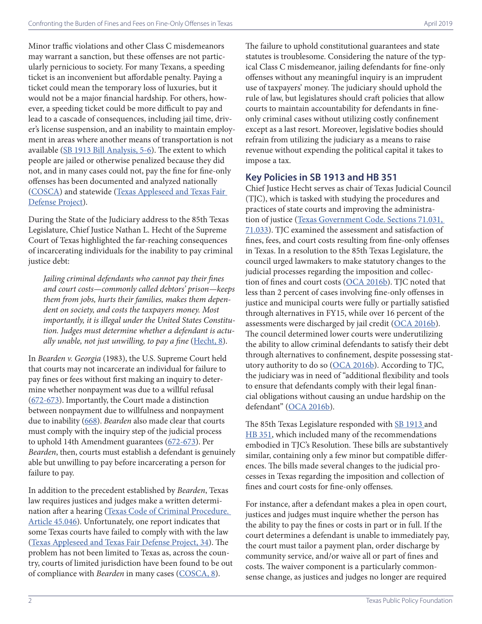Minor traffic violations and other Class C misdemeanors may warrant a sanction, but these offenses are not particularly pernicious to society. For many Texans, a speeding ticket is an inconvenient but affordable penalty. Paying a ticket could mean the temporary loss of luxuries, but it would not be a major financial hardship. For others, however, a speeding ticket could be more difficult to pay and lead to a cascade of consequences, including jail time, driver's license suspension, and an inability to maintain employment in areas where another means of transportation is not available (SB 1913 Bill Analysis, 5-6). The extent to which people are jailed or otherwise penalized because they did not, and in many cases could not, pay the fine for fine-only offenses has been documented and analyzed nationally ([COSCA\)](https://cosca.ncsc.org/~/media/Microsites/Files/COSCA/Policy%20Papers/End-of-Debtors-Prisons-2016.ashx) and statewide [\(Texas Appleseed and Texas Fair](https://www.texasappleseed.org/sites/default/files/PayorStay_Report_final_Feb2017.pdf)  [Defense Project](https://www.texasappleseed.org/sites/default/files/PayorStay_Report_final_Feb2017.pdf)).

During the State of the Judiciary address to the 85th Texas Legislature, Chief Justice Nathan L. Hecht of the Supreme Court of Texas highlighted the far-reaching consequences of incarcerating individuals for the inability to pay criminal justice debt:

*Jailing criminal defendants who cannot pay their fines and court costs—commonly called debtors' prison—keeps them from jobs, hurts their families, makes them dependent on society, and costs the taxpayers money. Most importantly, it is illegal under the United States Constitution. Judges must determine whether a defendant is actually unable, not just unwilling, to pay a fine* ([Hecht, 8\)](https://www.sll.texas.gov/assets/pdf/judiciary/state-of-the-judiciary-2017.pdf).

In *Bearden v. Georgia* (1983), the U.S. Supreme Court held that courts may not incarcerate an individual for failure to pay fines or fees without first making an inquiry to determine whether nonpayment was due to a willful refusal ([672](http://cdn.loc.gov/service/ll/usrep/usrep461/usrep461660/usrep461660.pdf)-673). Importantly, the Court made a distinction between nonpayment due to willfulness and nonpayment due to inability ([668](http://cdn.loc.gov/service/ll/usrep/usrep461/usrep461660/usrep461660.pdf)). *Bearden* also made clear that courts must comply with the inquiry step of the judicial process to uphold 14th Amendment guarantees [\(672-](http://cdn.loc.gov/service/ll/usrep/usrep461/usrep461660/usrep461660.pdf)673). Per *Bearden*, then, courts must establish a defendant is genuinely able but unwilling to pay before incarcerating a person for failure to pay.

In addition to the precedent established by *Bearden*, Texas law requires justices and judges make a written determination after a hearing [\(Texas Code of Criminal Procedure.](https://statutes.capitol.texas.gov/Docs/CR/htm/CR.45.htm)  [Article 45.046\)](https://statutes.capitol.texas.gov/Docs/CR/htm/CR.45.htm). Unfortunately, one report indicates that some Texas courts have failed to comply with with the law ([Texas Appleseed and Texas Fair Defense Project, 34\)](https://www.texasappleseed.org/sites/default/files/PayorStay_Report_final_Feb2017.pdf). The problem has not been limited to Texas as, across the country, courts of limited jurisdiction have been found to be out of compliance with *Bearden* in many cases [\(COSCA, 8](https://cosca.ncsc.org/~/media/Microsites/Files/COSCA/Policy%20Papers/End-of-Debtors-Prisons-2016.ashx)).

The failure to uphold constitutional guarantees and state statutes is troublesome. Considering the nature of the typical Class C misdemeanor, jailing defendants for fine-only offenses without any meaningful inquiry is an imprudent use of taxpayers' money. The judiciary should uphold the rule of law, but legislatures should craft policies that allow courts to maintain accountability for defendants in fineonly criminal cases without utilizing costly confinement except as a last resort. Moreover, legislative bodies should refrain from utilizing the judiciary as a means to raise revenue without expending the political capital it takes to impose a tax.

### **Key Policies in SB 1913 and HB 351**

Chief Justice Hecht serves as chair of Texas Judicial Council (TJC), which is tasked with studying the procedures and practices of state courts and improving the administration of justice [\(Texas Government Code. Sections 71.031,](https://statutes.capitol.texas.gov/Docs/GV/htm/GV.71.htm)  [71.033\)](https://statutes.capitol.texas.gov/Docs/GV/htm/GV.71.htm). TJC examined the assessment and satisfaction of fines, fees, and court costs resulting from fine-only offenses in Texas. In a resolution to the 85th Texas Legislature, the council urged lawmakers to make statutory changes to the judicial processes regarding the imposition and collec-tion of fines and court costs ([OCA 2016b](http://www.txcourts.gov/media/1436324/modification-of-statutes-governing-assessment-and-satisfaction-of-criminal-court-costs.pdf)). TJC noted that less than 2 percent of cases involving fine-only offenses in justice and municipal courts were fully or partially satisfied through alternatives in FY15, while over 16 percent of the assessments were discharged by jail credit ([OCA 2016b](http://www.txcourts.gov/media/1436324/modification-of-statutes-governing-assessment-and-satisfaction-of-criminal-court-costs.pdf)). The council determined lower courts were underutilizing the ability to allow criminal defendants to satisfy their debt through alternatives to confinement, despite possessing statutory authority to do so ([OCA 2016b](http://www.txcourts.gov/media/1436324/modification-of-statutes-governing-assessment-and-satisfaction-of-criminal-court-costs.pdf)). According to TJC, the judiciary was in need of "additional flexibility and tools to ensure that defendants comply with their legal financial obligations without causing an undue hardship on the defendant" [\(OCA 2016b\)](http://www.txcourts.gov/media/1436324/modification-of-statutes-governing-assessment-and-satisfaction-of-criminal-court-costs.pdf).

The 85th Texas Legislature responded with [SB 1913](https://capitol.texas.gov/tlodocs/85R/billtext/html/SB01913F.htm) and [HB 351](https://capitol.texas.gov/tlodocs/85R/billtext/html/HB00351F.htm), which included many of the recommendations embodied in TJC's Resolution. These bills are substantively similar, containing only a few minor but compatible differences. The bills made several changes to the judicial processes in Texas regarding the imposition and collection of fines and court costs for fine-only offenses.

For instance, after a defendant makes a plea in open court, justices and judges must inquire whether the person has the ability to pay the fines or costs in part or in full. If the court determines a defendant is unable to immediately pay, the court must tailor a payment plan, order discharge by community service, and/or waive all or part of fines and costs. The waiver component is a particularly commonsense change, as justices and judges no longer are required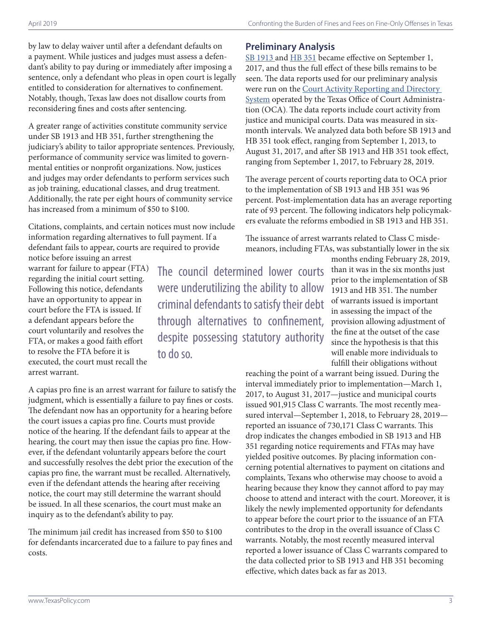by law to delay waiver until after a defendant defaults on a payment. While justices and judges must assess a defendant's ability to pay during or immediately after imposing a sentence, only a defendant who pleas in open court is legally entitled to consideration for alternatives to confinement. Notably, though, Texas law does not disallow courts from reconsidering fines and costs after sentencing.

A greater range of activities constitute community service under SB 1913 and HB 351, further strengthening the judiciary's ability to tailor appropriate sentences. Previously, performance of community service was limited to governmental entities or nonprofit organizations. Now, justices and judges may order defendants to perform services such as job training, educational classes, and drug treatment. Additionally, the rate per eight hours of community service has increased from a minimum of \$50 to \$100.

Citations, complaints, and certain notices must now include information regarding alternatives to full payment. If a defendant fails to appear, courts are required to provide

notice before issuing an arrest warrant for failure to appear (FTA) regarding the initial court setting. Following this notice, defendants have an opportunity to appear in court before the FTA is issued. If a defendant appears before the court voluntarily and resolves the FTA, or makes a good faith effort to resolve the FTA before it is executed, the court must recall the arrest warrant.

The council determined lower courts were underutilizing the ability to allow criminal defendants to satisfy their debt through alternatives to confinement, despite possessing statutory authority to do so.

A capias pro fine is an arrest warrant for failure to satisfy the judgment, which is essentially a failure to pay fines or costs. The defendant now has an opportunity for a hearing before the court issues a capias pro fine. Courts must provide notice of the hearing. If the defendant fails to appear at the hearing, the court may then issue the capias pro fine. However, if the defendant voluntarily appears before the court and successfully resolves the debt prior the execution of the capias pro fine, the warrant must be recalled. Alternatively, even if the defendant attends the hearing after receiving notice, the court may still determine the warrant should be issued. In all these scenarios, the court must make an inquiry as to the defendant's ability to pay.

The minimum jail credit has increased from \$50 to \$100 for defendants incarcerated due to a failure to pay fines and costs.

# **Preliminary Analysis**

[SB 1913](https://capitol.texas.gov/tlodocs/85R/billtext/html/SB01913F.htm) and [HB 351](https://capitol.texas.gov/tlodocs/85R/billtext/html/HB00351F.htm) became effective on September 1, 2017, and thus the full effect of these bills remains to be seen. The data reports used for our preliminary analysis were run on the Court Activity Reporting and Directory [System](https://card.txcourts.gov/) operated by the Texas Office of Court Administration (OCA). The data reports include court activity from justice and municipal courts. Data was measured in sixmonth intervals. We analyzed data both before SB 1913 and HB 351 took effect, ranging from September 1, 2013, to August 31, 2017, and after SB 1913 and HB 351 took effect, ranging from September 1, 2017, to February 28, 2019.

The average percent of courts reporting data to OCA prior to the implementation of SB 1913 and HB 351 was 96 percent. Post-implementation data has an average reporting rate of 93 percent. The following indicators help policymakers evaluate the reforms embodied in SB 1913 and HB 351.

The issuance of arrest warrants related to Class C misdemeanors, including FTAs, was substantially lower in the six

> months ending February 28, 2019, than it was in the six months just prior to the implementation of SB 1913 and HB 351. The number of warrants issued is important in assessing the impact of the provision allowing adjustment of the fine at the outset of the case since the hypothesis is that this will enable more individuals to fulfill their obligations without

reaching the point of a warrant being issued. During the interval immediately prior to implementation—March 1, 2017, to August 31, 2017—justice and municipal courts issued 901,915 Class C warrants. The most recently measured interval—September 1, 2018, to February 28, 2019 reported an issuance of 730,171 Class C warrants. This drop indicates the changes embodied in SB 1913 and HB 351 regarding notice requirements and FTAs may have yielded positive outcomes. By placing information concerning potential alternatives to payment on citations and complaints, Texans who otherwise may choose to avoid a hearing because they know they cannot afford to pay may choose to attend and interact with the court. Moreover, it is likely the newly implemented opportunity for defendants to appear before the court prior to the issuance of an FTA contributes to the drop in the overall issuance of Class C warrants. Notably, the most recently measured interval reported a lower issuance of Class C warrants compared to the data collected prior to SB 1913 and HB 351 becoming effective, which dates back as far as 2013.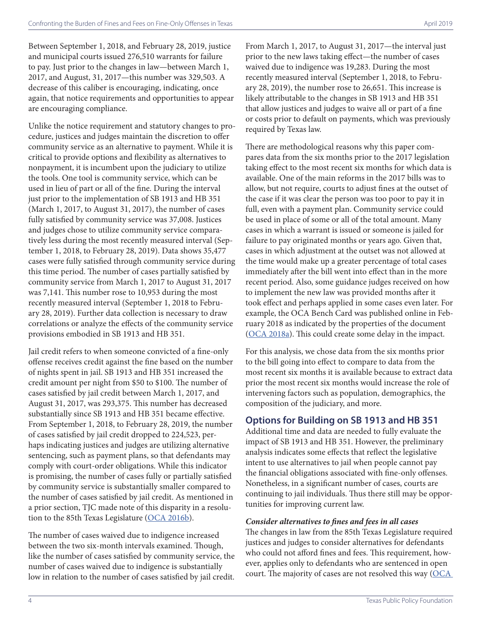Between September 1, 2018, and February 28, 2019, justice and municipal courts issued 276,510 warrants for failure to pay. Just prior to the changes in law—between March 1, 2017, and August, 31, 2017—this number was 329,503. A decrease of this caliber is encouraging, indicating, once again, that notice requirements and opportunities to appear are encouraging compliance.

Unlike the notice requirement and statutory changes to procedure, justices and judges maintain the discretion to offer community service as an alternative to payment. While it is critical to provide options and flexibility as alternatives to nonpayment, it is incumbent upon the judiciary to utilize the tools. One tool is community service, which can be used in lieu of part or all of the fine. During the interval just prior to the implementation of SB 1913 and HB 351 (March 1, 2017, to August 31, 2017), the number of cases fully satisfied by community service was 37,008. Justices and judges chose to utilize community service comparatively less during the most recently measured interval (September 1, 2018, to February 28, 2019). Data shows 35,477 cases were fully satisfied through community service during this time period. The number of cases partially satisfied by community service from March 1, 2017 to August 31, 2017 was 7,141. This number rose to 10,953 during the most recently measured interval (September 1, 2018 to February 28, 2019). Further data collection is necessary to draw correlations or analyze the effects of the community service provisions embodied in SB 1913 and HB 351.

Jail credit refers to when someone convicted of a fine-only offense receives credit against the fine based on the number of nights spent in jail. SB 1913 and HB 351 increased the credit amount per night from \$50 to \$100. The number of cases satisfied by jail credit between March 1, 2017, and August 31, 2017, was 293,375. This number has decreased substantially since SB 1913 and HB 351 became effective. From September 1, 2018, to February 28, 2019, the number of cases satisfied by jail credit dropped to 224,523, perhaps indicating justices and judges are utilizing alternative sentencing, such as payment plans, so that defendants may comply with court-order obligations. While this indicator is promising, the number of cases fully or partially satisfied by community service is substantially smaller compared to the number of cases satisfied by jail credit. As mentioned in a prior section, TJC made note of this disparity in a resolu-tion to the 85th Texas Legislature ([OCA 2016b](http://www.txcourts.gov/media/1436324/modification-of-statutes-governing-assessment-and-satisfaction-of-criminal-court-costs.pdf)).

The number of cases waived due to indigence increased between the two six-month intervals examined. Though, like the number of cases satisfied by community service, the number of cases waived due to indigence is substantially low in relation to the number of cases satisfied by jail credit. From March 1, 2017, to August 31, 2017—the interval just prior to the new laws taking effect—the number of cases waived due to indigence was 19,283. During the most recently measured interval (September 1, 2018, to February 28, 2019), the number rose to 26,651. This increase is likely attributable to the changes in SB 1913 and HB 351 that allow justices and judges to waive all or part of a fine or costs prior to default on payments, which was previously required by Texas law.

There are methodological reasons why this paper compares data from the six months prior to the 2017 legislation taking effect to the most recent six months for which data is available. One of the main reforms in the 2017 bills was to allow, but not require, courts to adjust fines at the outset of the case if it was clear the person was too poor to pay it in full, even with a payment plan. Community service could be used in place of some or all of the total amount. Many cases in which a warrant is issued or someone is jailed for failure to pay originated months or years ago. Given that, cases in which adjustment at the outset was not allowed at the time would make up a greater percentage of total cases immediately after the bill went into effect than in the more recent period. Also, some guidance judges received on how to implement the new law was provided months after it took effect and perhaps applied in some cases even later. For example, the OCA Bench Card was published online in February 2018 as indicated by the properties of the document ([OCA 2018a\)](https://www.txcourts.gov/media/1440393/sb-1913-justice-municipal.pdf). This could create some delay in the impact.

For this analysis, we chose data from the six months prior to the bill going into effect to compare to data from the most recent six months it is available because to extract data prior the most recent six months would increase the role of intervening factors such as population, demographics, the composition of the judiciary, and more.

# **Options for Building on SB 1913 and HB 351**

Additional time and data are needed to fully evaluate the impact of SB 1913 and HB 351. However, the preliminary analysis indicates some effects that reflect the legislative intent to use alternatives to jail when people cannot pay the financial obligations associated with fine-only offenses. Nonetheless, in a significant number of cases, courts are continuing to jail individuals. Thus there still may be opportunities for improving current law.

#### *Consider alternatives to fines and fees in all cases*

The changes in law from the 85th Texas Legislature required justices and judges to consider alternatives for defendants who could not afford fines and fees. This requirement, however, applies only to defendants who are sentenced in open court. The majority of cases are not resolved this way  $(OCA)$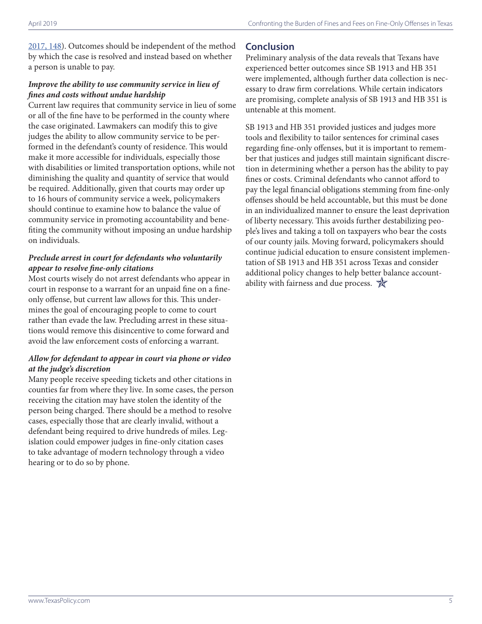[2017, 148\)](http://www.txcourts.gov/media/1441398/ar-fy-17-final.pdf). Outcomes should be independent of the method by which the case is resolved and instead based on whether a person is unable to pay.

#### *Improve the ability to use community service in lieu of fines and costs without undue hardship*

Current law requires that community service in lieu of some or all of the fine have to be performed in the county where the case originated. Lawmakers can modify this to give judges the ability to allow community service to be performed in the defendant's county of residence. This would make it more accessible for individuals, especially those with disabilities or limited transportation options, while not diminishing the quality and quantity of service that would be required. Additionally, given that courts may order up to 16 hours of community service a week, policymakers should continue to examine how to balance the value of community service in promoting accountability and benefiting the community without imposing an undue hardship on individuals.

#### *Preclude arrest in court for defendants who voluntarily appear to resolve fine-only citations*

Most courts wisely do not arrest defendants who appear in court in response to a warrant for an unpaid fine on a fineonly offense, but current law allows for this. This undermines the goal of encouraging people to come to court rather than evade the law. Precluding arrest in these situations would remove this disincentive to come forward and avoid the law enforcement costs of enforcing a warrant.

#### *Allow for defendant to appear in court via phone or video at the judge's discretion*

Many people receive speeding tickets and other citations in counties far from where they live. In some cases, the person receiving the citation may have stolen the identity of the person being charged. There should be a method to resolve cases, especially those that are clearly invalid, without a defendant being required to drive hundreds of miles. Legislation could empower judges in fine-only citation cases to take advantage of modern technology through a video hearing or to do so by phone.

# **Conclusion**

Preliminary analysis of the data reveals that Texans have experienced better outcomes since SB 1913 and HB 351 were implemented, although further data collection is necessary to draw firm correlations. While certain indicators are promising, complete analysis of SB 1913 and HB 351 is untenable at this moment.

SB 1913 and HB 351 provided justices and judges more tools and flexibility to tailor sentences for criminal cases regarding fine-only offenses, but it is important to remember that justices and judges still maintain significant discretion in determining whether a person has the ability to pay fines or costs. Criminal defendants who cannot afford to pay the legal financial obligations stemming from fine-only offenses should be held accountable, but this must be done in an individualized manner to ensure the least deprivation of liberty necessary. This avoids further destabilizing people's lives and taking a toll on taxpayers who bear the costs of our county jails. Moving forward, policymakers should continue judicial education to ensure consistent implementation of SB 1913 and HB 351 across Texas and consider additional policy changes to help better balance accountability with fairness and due process.  $\mathbb{R}$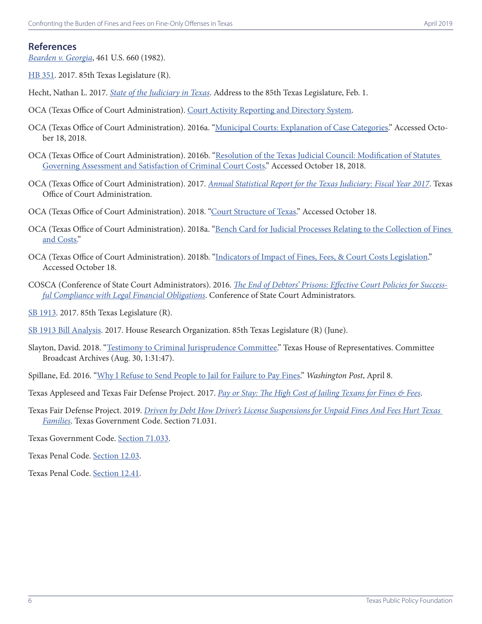#### **References**

*[Bearden v. Georgia](http://cdn.loc.gov/service/ll/usrep/usrep461/usrep461660/usrep461660.pdf)*, 461 U.S. 660 (1982).

[HB 351](https://capitol.texas.gov/tlodocs/85R/billtext/html/HB00351F.htm). 2017. 85th Texas Legislature (R).

- Hecht, Nathan L. 2017. *[State of the Judiciary in Texas](https://www.sll.texas.gov/assets/pdf/judiciary/state-of-the-judiciary-2017.pdf)*. Address to the 85th Texas Legislature, Feb. 1.
- OCA (Texas Office of Court Administration). [Court Activity Reporting and Directory System](https://card.txcourts.gov/).
- OCA (Texas Office of Court Administration). 2016a. ["Municipal Courts: Explanation of Case Categories.](http://www.txcourts.gov/media/728070/1-Municipal-Court-Case-Types.pdf)" Accessed October 18, 2018.
- OCA (Texas Office of Court Administration). 2016b. "[Resolution of the Texas Judicial Council: Modification of Statutes](http://www.txcourts.gov/media/1436324/modification-of-statutes-governing-assessment-and-satisfaction-of-criminal-court-costs.pdf)  [Governing Assessment and Satisfaction of Criminal Court Costs.](http://www.txcourts.gov/media/1436324/modification-of-statutes-governing-assessment-and-satisfaction-of-criminal-court-costs.pdf)" Accessed October 18, 2018.
- OCA (Texas Office of Court Administration). 2017. *[Annual Statistical Report for the Texas Judiciary: Fiscal Year 2017](http://www.txcourts.gov/media/1441398/ar-fy-17-final.pdf)*. Texas Office of Court Administration.
- OCA (Texas Office of Court Administration). 2018. ["Court Structure of Texas](http://www.txcourts.gov/media/1441125/court-structure-chart-jan-2018.pdf)." Accessed October 18.
- OCA (Texas Office of Court Administration). 2018a. ["Bench Card for Judicial Processes Relating to the Collection of Fines](https://www.txcourts.gov/media/1440393/sb-1913-justice-municipal.pdf)  [and Costs](https://www.txcourts.gov/media/1440393/sb-1913-justice-municipal.pdf)."
- OCA (Texas Office of Court Administration). 2018b. "[Indicators of Impact of Fines, Fees, & Court Costs Legislation.](http://www.txcourts.gov/media/1442212/ff-indicators.pdf)" Accessed October 18.
- COSCA (Conference of State Court Administrators). 2016. *[The End of Debtors' Prisons: Effective Court Policies for Success](https://cosca.ncsc.org/~/media/Microsites/Files/COSCA/Policy%20Papers/End-of-Debtors-Prisons-2016.ashx)[ful Compliance with Legal Financial Obligations](https://cosca.ncsc.org/~/media/Microsites/Files/COSCA/Policy%20Papers/End-of-Debtors-Prisons-2016.ashx)*. Conference of State Court Administrators.

[SB 1913](https://capitol.texas.gov/tlodocs/85R/billtext/html/SB01913F.htm). 2017. 85th Texas Legislature (R).

SB 1913 Bill Analysis. 2017. House Research Organization. 85th Texas Legislature (R) (June).

- Slayton, David. 2018. "[Testimony to Criminal Jurisprudence Committee.](http://tlchouse.granicus.com/MediaPlayer.php?view_id=40&clip_id=15447)" Texas House of Representatives. Committee Broadcast Archives (Aug. 30, 1:31:47).
- Spillane, Ed. 2016. ["Why I Refuse to Send People to Jail for Failure to Pay Fines](https://www.washingtonpost.com/posteverything/wp/2016/04/08/why-i-refuse-to-send-people-to-jail-for-failure-to-pay-fines/?utm_term=.89411f5280d8)." *Washington Post*, April 8.
- Texas Appleseed and Texas Fair Defense Project. 2017. *[Pay or Stay: The High Cost of Jailing Texans for Fines & Fees](https://www.texasappleseed.org/sites/default/files/PayorStay_Report_final_Feb2017.pdf)*.
- Texas Fair Defense Project. 2019. *[Driven by Debt How Driver's License Suspensions for Unpaid Fines And Fees Hurt Texas](http://stories.texasappleseed.org/driven-by-debt)  [Families](http://stories.texasappleseed.org/driven-by-debt)*. Texas Government Code. [Section 71.031.](https://statutes.capitol.texas.gov/Docs/GV/htm/GV.71.htm)

Texas Government Code. [Section 71.033](https://statutes.capitol.texas.gov/Docs/GV/htm/GV.71.htm).

Texas Penal Code. Section 12.03.

Texas Penal Code. Section 12.41.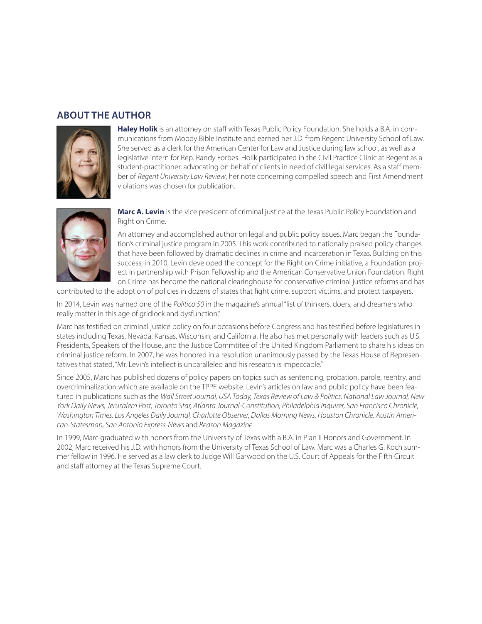## **ABOUT THE AUTHOR**



**Haley Holik** is an attorney on staff with Texas Public Policy Foundation. She holds a B.A. in communications from Moody Bible Institute and earned her J.D. from Regent University School of Law. She served as a clerk for the American Center for Law and Justice during law school, as well as a legislative intern for Rep. Randy Forbes. Holik participated in the Civil Practice Clinic at Regent as a student-practitioner, advocating on behalf of clients in need of civil legal services. As a staff member of *Regent University Law Review*, her note concerning compelled speech and First Amendment violations was chosen for publication.



**Marc A. Levin** is the vice president of criminal justice at the Texas Public Policy Foundation and Right on Crime.

An attorney and accomplished author on legal and public policy issues, Marc began the Foundation's criminal justice program in 2005. This work contributed to nationally praised policy changes that have been followed by dramatic declines in crime and incarceration in Texas. Building on this success, in 2010, Levin developed the concept for the Right on Crime initiative, a Foundation project in partnership with Prison Fellowship and the American Conservative Union Foundation. Right on Crime has become the national clearinghouse for conservative criminal justice reforms and has

contributed to the adoption of policies in dozens of states that fight crime, support victims, and protect taxpayers.

In 2014, Levin was named one of the *Politico 50* in the magazine's annual "list of thinkers, doers, and dreamers who really matter in this age of gridlock and dysfunction."

Marc has testified on criminal justice policy on four occasions before Congress and has testified before legislatures in states including Texas, Nevada, Kansas, Wisconsin, and California. He also has met personally with leaders such as U.S. Presidents, Speakers of the House, and the Justice Commtitee of the United Kingdom Parliament to share his ideas on criminal justice reform. In 2007, he was honored in a resolution unanimously passed by the Texas House of Representatives that stated, "Mr. Levin's intellect is unparalleled and his research is impeccable."

Since 2005, Marc has published dozens of policy papers on topics such as sentencing, probation, parole, reentry, and overcriminalization which are available on the TPPF website. Levin's articles on law and public policy have been featured in publications such as the *Wall Street Journal, USA Today, Texas Review of Law & Politics, National Law Journal, New York Daily News, Jerusalem Post, Toronto Star, Atlanta Journal-Constitution, Philadelphia Inquirer, San Francisco Chronicle, Washington Times, Los Angeles Daily Journal, Charlotte Observer, Dallas Morning News, Houston Chronicle, Austin American-Statesman, San Antonio Express-News* and *Reason Magazine*.

In 1999, Marc graduated with honors from the University of Texas with a B.A. in Plan II Honors and Government. In 2002, Marc received his J.D. with honors from the University of Texas School of Law. Marc was a Charles G. Koch summer fellow in 1996. He served as a law clerk to Judge Will Garwood on the U.S. Court of Appeals for the Fifth Circuit and staff attorney at the Texas Supreme Court.